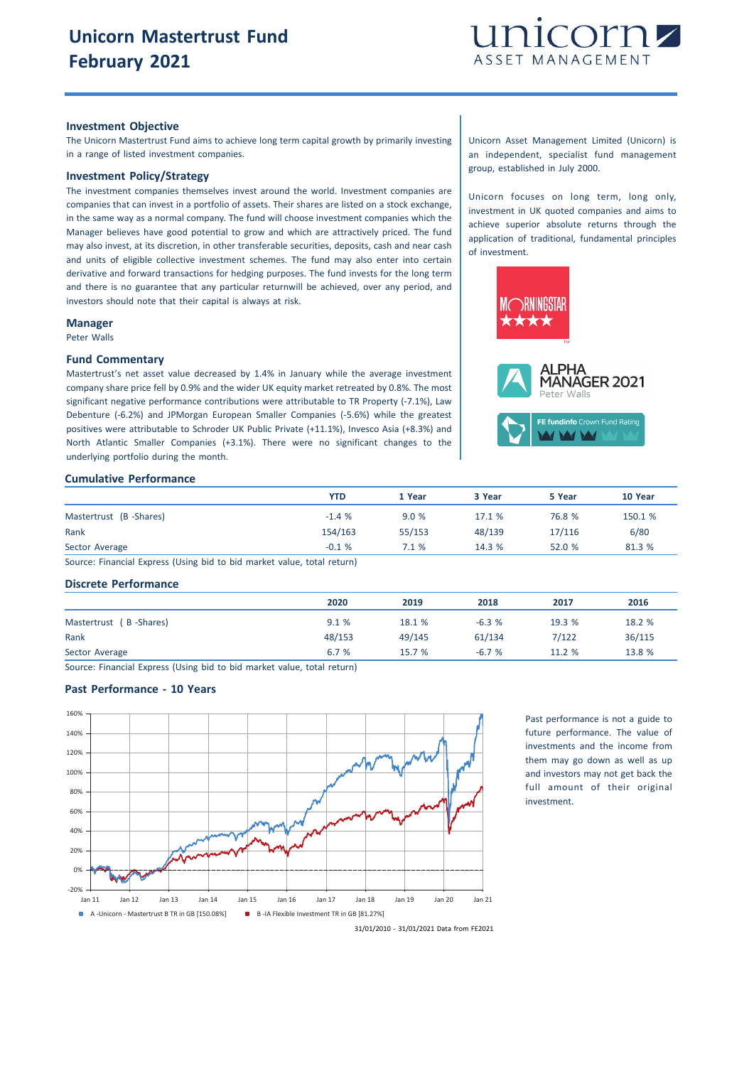

#### **Investment Objective**

The Unicorn Mastertrust Fund aims to achieve long term capital growth by primarily investing in a range of listed investment companies.

## **Investment Policy/Strategy**

The investment companies themselves invest around the world. Investment companies are companies that can invest in a portfolio of assets. Their shares are listed on a stock exchange, in the same way as a normal company. The fund will choose investment companies which the Manager believes have good potential to grow and which are attractively priced. The fund may also invest, at its discretion, in other transferable securities, deposits, cash and near cash and units of eligible collective investment schemes. The fund may also enter into certain derivative and forward transactions for hedging purposes. The fund invests for the long term and there is no guarantee that any particular returnwill be achieved, over any period, and investors should note that their capital is always at risk.

#### **Manager**

Peter Walls

#### **Fund Commentary**

Mastertrust's net asset value decreased by 1.4% in January while the average investment company share price fell by 0.9% and the wider UK equity market retreated by 0.8%. The most significant negative performance contributions were attributable to TR Property (-7.1%), Law Debenture (-6.2%) and JPMorgan European Smaller Companies (-5.6%) while the greatest positives were attributable to Schroder UK Public Private (+11.1%), Invesco Asia (+8.3%) and North Atlantic Smaller Companies (+3.1%). There were no significant changes to the underlying portfolio during the month.

Unicorn Asset Management Limited (Unicorn) is an independent, specialist fund management group, established in July 2000.

Unicorn focuses on long term, long only, investment in UK quoted companies and aims to achieve superior absolute returns through the application of traditional, fundamental principles of investment.



#### **Cumulative Performance**

|                                                                                                                | YTD     | 1 Year | 3 Year | 5 Year | 10 Year |
|----------------------------------------------------------------------------------------------------------------|---------|--------|--------|--------|---------|
| Mastertrust (B-Shares)                                                                                         | $-1.4%$ | 9.0%   | 17.1%  | 76.8 % | 150.1 % |
| Rank                                                                                                           | 154/163 | 55/153 | 48/139 | 17/116 | 6/80    |
| Sector Average                                                                                                 | $-0.1%$ | 7.1%   | 14.3%  | 52.0%  | 81.3 %  |
| the complete control in the complete state of the state of the state of the complete state of the state of the |         |        |        |        |         |

Source: Financial Express (Using bid to bid market value, total return)

## **Discrete Performance**

|                        | 2020   | 2019   | 2018    | 2017   | 2016   |
|------------------------|--------|--------|---------|--------|--------|
| Mastertrust (B-Shares) | 9.1%   | 18.1 % | $-6.3%$ | 19.3 % | 18.2 % |
| Rank                   | 48/153 | 49/145 | 61/134  | 7/122  | 36/115 |
| Sector Average         | 6.7 %  | 15.7 % | $-6.7%$ | 11.2 % | 13.8 % |

Source: Financial Express (Using bid to bid market value, total return)

# **Past Performance - 10 Years**



Past performance is not a guide to future performance. The value of investments and the income from them may go down as well as up and investors may not get back the full amount of their original investment.

31/01/2010 - 31/01/2021 Data from FE2021